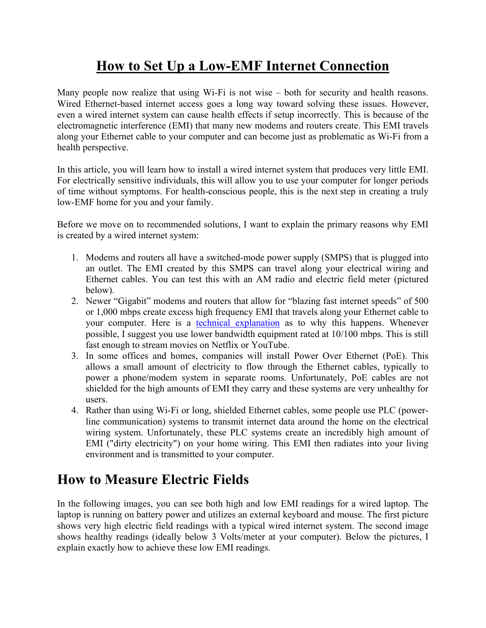# **How to Set Up a Low-EMF Internet Connection**

Many people now realize that using Wi-Fi is not wise – both for security and health reasons. Wired Ethernet-based internet access goes a long way toward solving these issues. However, even a wired internet system can cause health effects if setup incorrectly. This is because of the electromagnetic interference (EMI) that many new modems and routers create. This EMI travels along your Ethernet cable to your computer and can become just as problematic as Wi-Fi from a health perspective.

In this article, you will learn how to install a wired internet system that produces very little EMI. For electrically sensitive individuals, this will allow you to use your computer for longer periods of time without symptoms. For health-conscious people, this is the next step in creating a truly low-EMF home for you and your family.

Before we move on to recommended solutions, I want to explain the primary reasons why EMI is created by a wired internet system:

- 1. Modems and routers all have a switched-mode power supply (SMPS) that is plugged into an outlet. The EMI created by this SMPS can travel along your electrical wiring and Ethernet cables. You can test this with an AM radio and electric field meter (pictured below).
- 2. Newer "Gigabit" modems and routers that allow for "blazing fast internet speeds" of 500 or 1,000 mbps create excess high frequency EMI that travels along your Ethernet cable to your computer. Here is a [technical explanation](https://www.emfanalysis.com/why-gigabit-routers-create-emi/) as to why this happens. Whenever possible, I suggest you use lower bandwidth equipment rated at 10/100 mbps. This is still fast enough to stream movies on Netflix or YouTube.
- 3. In some offices and homes, companies will install Power Over Ethernet (PoE). This allows a small amount of electricity to flow through the Ethernet cables, typically to power a phone/modem system in separate rooms. Unfortunately, PoE cables are not shielded for the high amounts of EMI they carry and these systems are very unhealthy for users.
- 4. Rather than using Wi-Fi or long, shielded Ethernet cables, some people use PLC (powerline communication) systems to transmit internet data around the home on the electrical wiring system. Unfortunately, these PLC systems create an incredibly high amount of EMI ("dirty electricity") on your home wiring. This EMI then radiates into your living environment and is transmitted to your computer.

### **How to Measure Electric Fields**

In the following images, you can see both high and low EMI readings for a wired laptop. The laptop is running on battery power and utilizes an external keyboard and mouse. The first picture shows very high electric field readings with a typical wired internet system. The second image shows healthy readings (ideally below 3 Volts/meter at your computer). Below the pictures, I explain exactly how to achieve these low EMI readings.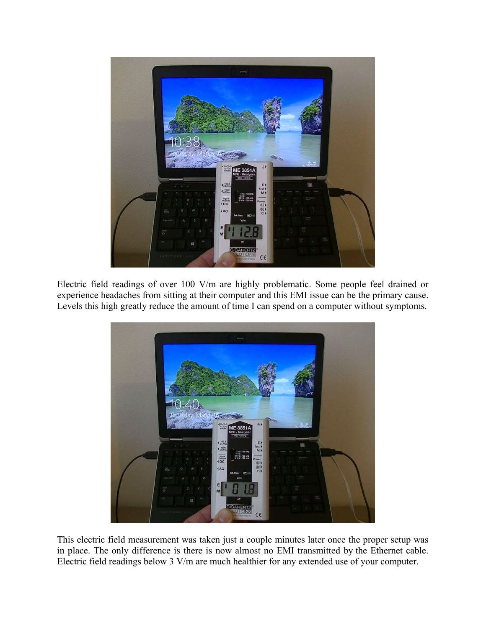

Electric field readings of over 100 V/m are highly problematic. Some people feel drained or experience headaches from sitting at their computer and this EMI issue can be the primary cause. Levels this high greatly reduce the amount of time I can spend on a computer without symptoms.



This electric field measurement was taken just a couple minutes later once the proper setup was in place. The only difference is there is now almost no EMI transmitted by the Ethernet cable. Electric field readings below 3 V/m are much healthier for any extended use of your computer.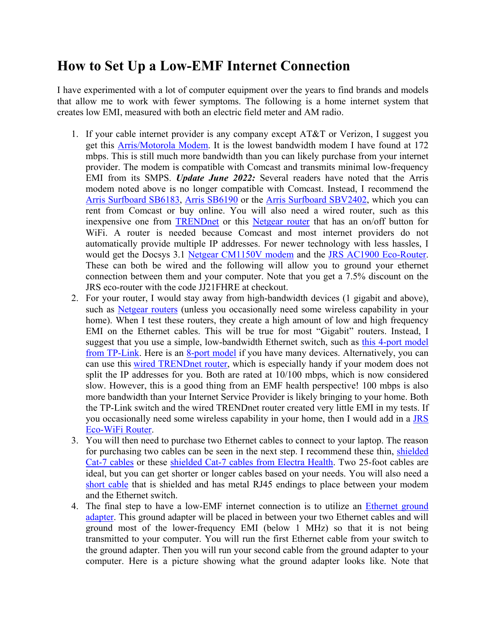## **How to Set Up a Low-EMF Internet Connection**

I have experimented with a lot of computer equipment over the years to find brands and models that allow me to work with fewer symptoms. The following is a home internet system that creates low EMI, measured with both an electric field meter and AM radio.

- 1. If your cable internet provider is any company except AT&T or Verizon, I suggest you get this [Arris/Motorola Modem.](https://www.amazon.com/gp/product/B004XC6GJ0/ref=as_li_tl?ie=UTF8&tag=emfanalysisco-20&camp=1789&creative=9325&linkCode=as2&creativeASIN=B004XC6GJ0&linkId=4f0aba28b4d51692999efb876bca3e70) It is the lowest bandwidth modem I have found at 172 mbps. This is still much more bandwidth than you can likely purchase from your internet provider. The modem is compatible with Comcast and transmits minimal low-frequency EMI from its SMPS. *Update June 2022:* Several readers have noted that the Arris modem noted above is no longer compatible with Comcast. Instead, I recommend the [Arris Surfboard SB6183,](https://amzn.to/2Xekv0N) [Arris SB6190](https://amzn.to/3kzE2BK) or the [Arris Surfboard SBV2402,](https://amzn.to/3jGBRhs) which you can rent from Comcast or buy online. You will also need a wired router, such as this inexpensive one from [TRENDnet](https://amzn.to/2JqlGkE) or this [Netgear router](http://amzn.to/2FshVdf) that has an on/off button for WiFi. A router is needed because Comcast and most internet providers do not automatically provide multiple IP addresses. For newer technology with less hassles, I would get the Docsys 3.1 [Netgear CM1150V modem](https://amzn.to/2ONBpSv) and the [JRS AC1900 Eco-Router.](https://www.jrseco.com/p/jrs-eco-100-wifi-d2-on-asus?c=6680) These can both be wired and the following will allow you to ground your ethernet connection between them and your computer. Note that you get a 7.5% discount on the JRS eco-router with the code JJ21FHRE at checkout.
- 2. For your router, I would stay away from high-bandwidth devices (1 gigabit and above), such as [Netgear routers](http://amzn.to/2FshVdf) (unless you occasionally need some wireless capability in your home). When I test these routers, they create a high amount of low and high frequency EMI on the Ethernet cables. This will be true for most "Gigabit" routers. Instead, I suggest that you use a simple, low-bandwidth Ethernet switch, such as this 4-port model [from TP-Link.](https://www.amazon.com/gp/product/B000FNFSPY/ref=as_li_tl?ie=UTF8&tag=emfanalysisco-20&camp=1789&creative=9325&linkCode=as2&creativeASIN=B000FNFSPY&linkId=9522de8a079f7823d856c254811c04c1) Here is an [8-port model](https://amzn.to/2oE8L5D) if you have many devices. Alternatively, you can can use this [wired TRENDnet router,](https://amzn.to/2JqlGkE) which is especially handy if your modem does not split the IP addresses for you. Both are rated at 10/100 mbps, which is now considered slow. However, this is a good thing from an EMF health perspective! 100 mbps is also more bandwidth than your Internet Service Provider is likely bringing to your home. Both the TP-Link switch and the wired TRENDnet router created very little EMI in my tests. If you occasionally need some wireless capability in your home, then I would add in a [JRS](https://www.jrseco.com/p/jrs-eco-100-wifi-d2-on-asus?c=6680)  [Eco-WiFi Router.](https://www.jrseco.com/p/jrs-eco-100-wifi-d2-on-asus?c=6680)
- 3. You will then need to purchase two Ethernet cables to connect to your laptop. The reason for purchasing two cables can be seen in the next step. I recommend these thin, shielded [Cat-7 cables](https://amzn.to/2CWrLTI) or these [shielded Cat-7 cables from Electra Health.](https://www.electrahealth.com/cat7-25ft.html?aff=2) Two 25-foot cables are ideal, but you can get shorter or longer cables based on your needs. You will also need a [short cable](https://www.amazon.com/gp/product/B006FNI0FI/ref=as_li_tl?ie=UTF8&tag=emfanalysisco-20&camp=1789&creative=9325&linkCode=as2&creativeASIN=B00HCTFK9I&linkId=bf8743c9e131fbf26b8ef2b151b22676&th=1) that is shielded and has metal RJ45 endings to place between your modem and the Ethernet switch.
- 4. The final step to have a low-EMF internet connection is to utilize an [Ethernet ground](https://www.electrahealth.com/Ethernet-grounding-adapter-kit_p_129.html?aff=2)  [adapter.](https://www.electrahealth.com/Ethernet-grounding-adapter-kit_p_129.html?aff=2) This ground adapter will be placed in between your two Ethernet cables and will ground most of the lower-frequency EMI (below 1 MHz) so that it is not being transmitted to your computer. You will run the first Ethernet cable from your switch to the ground adapter. Then you will run your second cable from the ground adapter to your computer. Here is a picture showing what the ground adapter looks like. Note that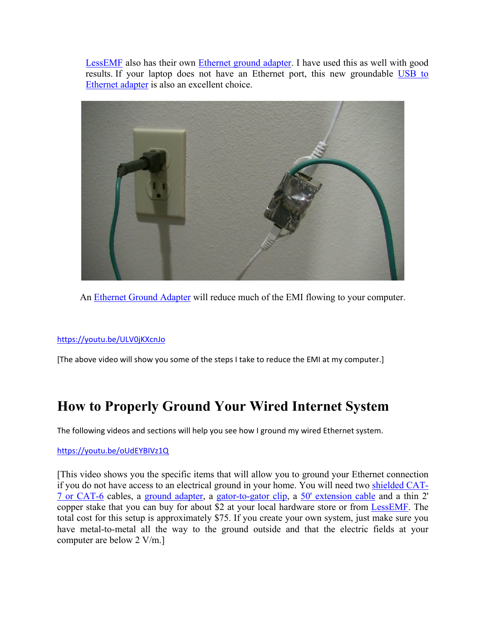[LessEMF](http://www.aitsafe.com/go.htm?go=www.lessemf.com/computer.html&afid=50042&tm=90&im=1#704) also has their own [Ethernet ground adapter.](http://www.aitsafe.com/go.htm?go=www.lessemf.com/computer.html&afid=50042&tm=90&im=1#704) I have used this as well with good results. If your laptop does not have an Ethernet port, this new groundable [USB to](https://www.electrahealth.com/Ultimate-Grounding-USB-to-Gigabit-Ethernet-Adapter-with-USB-Hub.html?aff=2)  [Ethernet adapter](https://www.electrahealth.com/Ultimate-Grounding-USB-to-Gigabit-Ethernet-Adapter-with-USB-Hub.html?aff=2) is also an excellent choice.



An [Ethernet Ground Adapter](https://www.electrahealth.com/Ethernet-grounding-adapter-kit_p_129.html?aff=2) will reduce much of the EMI flowing to your computer.

#### <https://youtu.be/ULV0jKXcnJo>

[The above video will show you some of the steps I take to reduce the EMI at my computer.]

### **How to Properly Ground Your Wired Internet System**

The following videos and sections will help you see how I ground my wired Ethernet system.

#### <https://youtu.be/oUdEYBIVz1Q>

[This video shows you the specific items that will allow you to ground your Ethernet connection if you do not have access to an electrical ground in your home. You will need two [shielded CAT-](https://www.amazon.com/gp/product/B00HCTFK9I/ref=as_li_tl?ie=UTF8&tag=emfanalysisco-20&camp=1789&creative=9325&linkCode=as2&creativeASIN=B00HCTFK9I&linkId=bf8743c9e131fbf26b8ef2b151b22676)[7 or CAT-6](https://www.amazon.com/gp/product/B00HCTFK9I/ref=as_li_tl?ie=UTF8&tag=emfanalysisco-20&camp=1789&creative=9325&linkCode=as2&creativeASIN=B00HCTFK9I&linkId=bf8743c9e131fbf26b8ef2b151b22676) cables, a [ground adapter,](https://www.electrahealth.com/Ethernet-grounding-adapter-kit_p_129.html?aff=2) a [gator-to-gator clip,](http://www.aitsafe.com/go.htm?go=www.lessemf.com/ground.html&afid=50042&tm=90&im=1#295) a [50' extension cable](http://www.aitsafe.com/go.htm?go=www.lessemf.com/ground.html&afid=50042&tm=90&im=1#291-ext) and a thin 2' copper stake that you can buy for about \$2 at your local hardware store or from [LessEMF.](http://www.aitsafe.com/go.htm?go=www.lessemf.com/ground.html&afid=50042&tm=90&im=1#291-50) The total cost for this setup is approximately \$75. If you create your own system, just make sure you have metal-to-metal all the way to the ground outside and that the electric fields at your computer are below 2 V/m.]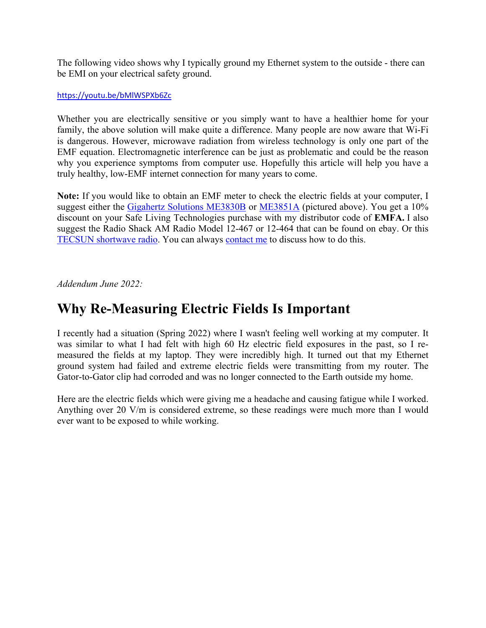The following video shows why I typically ground my Ethernet system to the outside - there can be EMI on your electrical safety ground.

#### <https://youtu.be/bMlWSPXb6Zc>

Whether you are electrically sensitive or you simply want to have a healthier home for your family, the above solution will make quite a difference. Many people are now aware that Wi-Fi is dangerous. However, microwave radiation from wireless technology is only one part of the EMF equation. Electromagnetic interference can be just as problematic and could be the reason why you experience symptoms from computer use. Hopefully this article will help you have a truly healthy, low-EMF internet connection for many years to come.

**Note:** If you would like to obtain an EMF meter to check the electric fields at your computer, I suggest either the [Gigahertz Solutions ME3830B](https://safelivingtechnologies.com/ME3830B/?aff=3) or [ME3851A](https://safelivingtechnologies.com/ME3851A/?aff=3) (pictured above). You get a 10% discount on your Safe Living Technologies purchase with my distributor code of **EMFA.** I also suggest the Radio Shack AM Radio Model 12-467 or 12-464 that can be found on ebay. Or this [TECSUN shortwave radio.](https://amzn.to/3jqPlPt) You can always [contact me](https://www.emfanalysis.com/work-with-me/) to discuss how to do this.

*Addendum June 2022:*

### **Why Re-Measuring Electric Fields Is Important**

I recently had a situation (Spring 2022) where I wasn't feeling well working at my computer. It was similar to what I had felt with high 60 Hz electric field exposures in the past, so I remeasured the fields at my laptop. They were incredibly high. It turned out that my Ethernet ground system had failed and extreme electric fields were transmitting from my router. The Gator-to-Gator clip had corroded and was no longer connected to the Earth outside my home.

Here are the electric fields which were giving me a headache and causing fatigue while I worked. Anything over 20 V/m is considered extreme, so these readings were much more than I would ever want to be exposed to while working.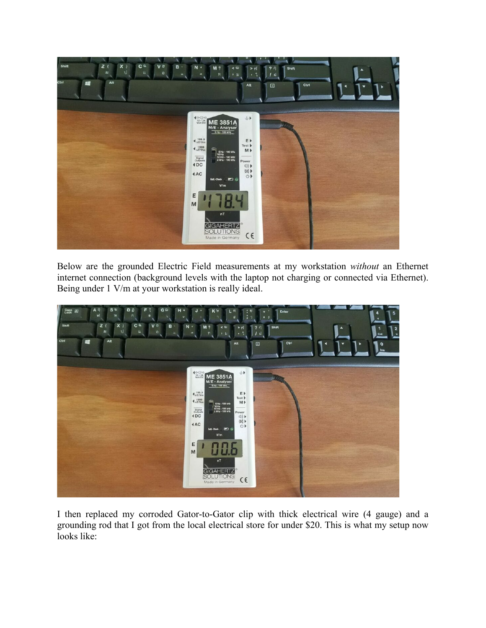

Below are the grounded Electric Field measurements at my workstation *without* an Ethernet internet connection (background levels with the laptop not charging or connected via Ethernet). Being under 1 V/m at your workstation is really ideal.



I then replaced my corroded Gator-to-Gator clip with thick electrical wire (4 gauge) and a grounding rod that I got from the local electrical store for under \$20. This is what my setup now looks like: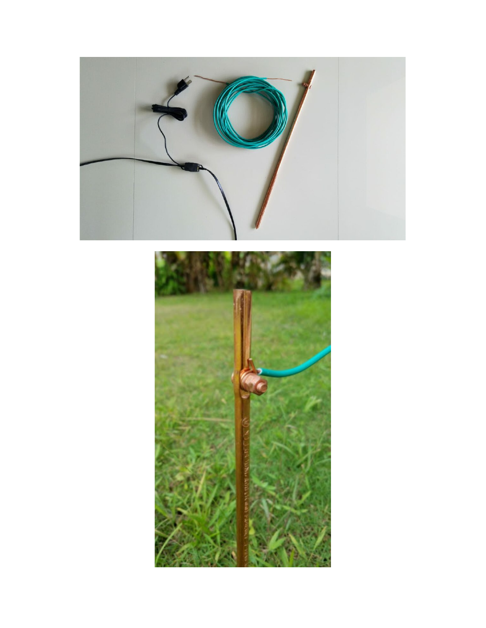